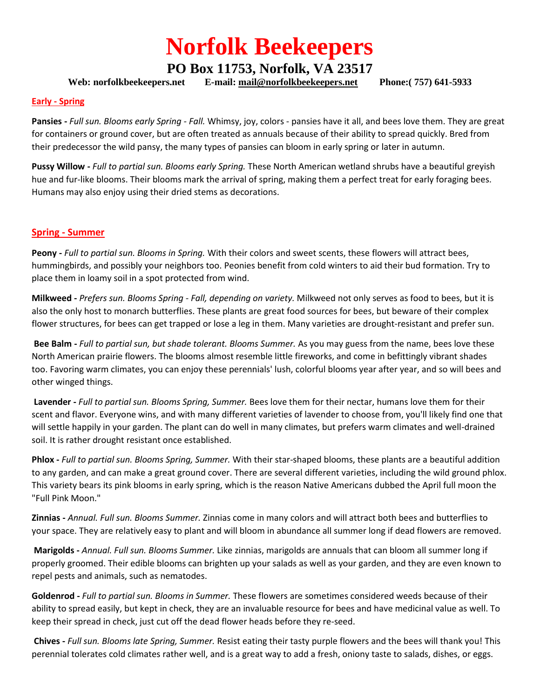# **Norfolk Beekeepers**

## **PO Box 11753, Norfolk, VA 23517**

**Web: norfolkbeekeepers.net E-mail: [mail@norfolkbeekeepers.net](mailto:mail@norfolkbeekeepers.net) Phone:( 757) 641-5933**

#### **Early - Spring**

**Pansies -** *Full sun. Blooms early Spring - Fall.* Whimsy, joy, colors - pansies have it all, and bees love them. They are great for containers or ground cover, but are often treated as annuals because of their ability to spread quickly. Bred from their predecessor the wild pansy, the many types of pansies can bloom in early spring or later in autumn.

**Pussy Willow -** *Full to partial sun. Blooms early Spring.* These North American wetland shrubs have a beautiful greyish hue and fur-like blooms. Their blooms mark the arrival of spring, making them a perfect treat for early foraging bees. Humans may also enjoy using their dried stems as decorations.

### **Spring - Summer**

**Peony -** *Full to partial sun. Blooms in Spring.* With their colors and sweet scents, these flowers will attract bees, hummingbirds, and possibly your neighbors too. Peonies benefit from cold winters to aid their bud formation. Try to place them in loamy soil in a spot protected from wind.

**Milkweed -** *Prefers sun. Blooms Spring - Fall, depending on variety.* Milkweed not only serves as food to bees, but it is also the only host to monarch butterflies. These plants are great food sources for bees, but beware of their complex flower structures, for bees can get trapped or lose a leg in them. Many varieties are drought-resistant and prefer sun.

**Bee Balm -** *Full to partial sun, but shade tolerant. Blooms Summer.* As you may guess from the name, bees love these North American prairie flowers. The blooms almost resemble little fireworks, and come in befittingly vibrant shades too. Favoring warm climates, you can enjoy these perennials' lush, colorful blooms year after year, and so will bees and other winged things.

**Lavender -** *Full to partial sun. Blooms Spring, Summer.* Bees love them for their nectar, humans love them for their scent and flavor. Everyone wins, and with many different varieties of lavender to choose from, you'll likely find one that will settle happily in your garden. The plant can do well in many climates, but prefers warm climates and well-drained soil. It is rather drought resistant once established.

**Phlox -** *Full to partial sun. Blooms Spring, Summer.* With their star-shaped blooms, these plants are a beautiful addition to any garden, and can make a great ground cover. There are several different varieties, including the wild ground phlox. This variety bears its pink blooms in early spring, which is the reason Native Americans dubbed the April full moon the "Full Pink Moon."

**Zinnias -** *Annual. Full sun. Blooms Summer.* Zinnias come in many colors and will attract both bees and butterflies to your space. They are relatively easy to plant and will bloom in abundance all summer long if dead flowers are removed.

**Marigolds -** *Annual. Full sun. Blooms Summer.* Like zinnias, marigolds are annuals that can bloom all summer long if properly groomed. Their edible blooms can brighten up your salads as well as your garden, and they are even known to repel pests and animals, such as nematodes.

**Goldenrod -** *Full to partial sun. Blooms in Summer.* These flowers are sometimes considered weeds because of their ability to spread easily, but kept in check, they are an invaluable resource for bees and have medicinal value as well. To keep their spread in check, just cut off the dead flower heads before they re-seed.

**Chives -** *Full sun. Blooms late Spring, Summer.* Resist eating their tasty purple flowers and the bees will thank you! This perennial tolerates cold climates rather well, and is a great way to add a fresh, oniony taste to salads, dishes, or eggs.